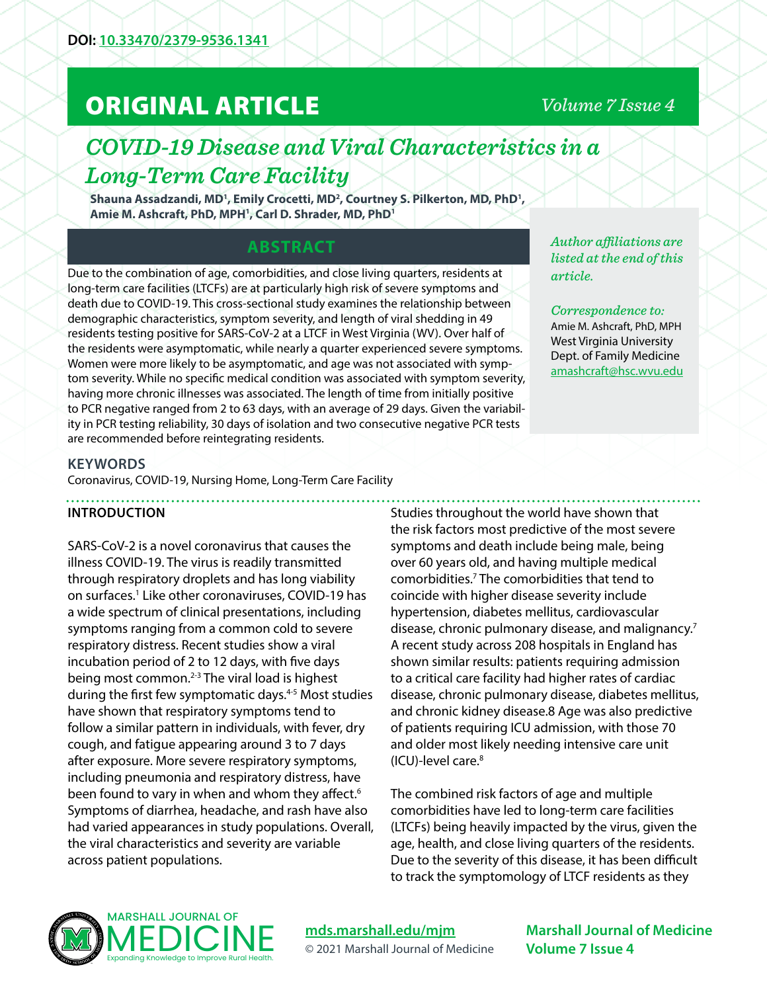# ORIGINAL ARTICLE

# *Volume 7 Issue 4*

# *COVID-19 Disease and Viral Characteristics in a Long-Term Care Facility*

Shauna Assadzandi, MD<sup>1</sup>, Emily Crocetti, MD<sup>2</sup>, Courtney S. Pilkerton, MD, PhD<sup>1</sup>, **Amie M. Ashcraft, PhD, MPH1 , Carl D. Shrader, MD, PhD1**

# **ABSTRACT**

Due to the combination of age, comorbidities, and close living quarters, residents at long-term care facilities (LTCFs) are at particularly high risk of severe symptoms and death due to COVID-19. This cross-sectional study examines the relationship between demographic characteristics, symptom severity, and length of viral shedding in 49 residents testing positive for SARS-CoV-2 at a LTCF in West Virginia (WV). Over half of the residents were asymptomatic, while nearly a quarter experienced severe symptoms. Women were more likely to be asymptomatic, and age was not associated with symptom severity. While no specific medical condition was associated with symptom severity, having more chronic illnesses was associated. The length of time from initially positive to PCR negative ranged from 2 to 63 days, with an average of 29 days. Given the variability in PCR testing reliability, 30 days of isolation and two consecutive negative PCR tests are recommended before reintegrating residents.

*Author affiliations are listed at the end of this article.* 

*Correspondence to:*  Amie M. Ashcraft, PhD, MPH West Virginia University Dept. of Family Medicine [amashcraft@hsc.wvu.edu](mailto:amashcraft%40hsc.wvu.edu?subject=)

#### **KEYWORDS**

Coronavirus, COVID-19, Nursing Home, Long-Term Care Facility

# **INTRODUCTION**

SARS-CoV-2 is a novel coronavirus that causes the illness COVID-19. The virus is readily transmitted through respiratory droplets and has long viability on surfaces.<sup>1</sup> Like other coronaviruses, COVID-19 has a wide spectrum of clinical presentations, including symptoms ranging from a common cold to severe respiratory distress. Recent studies show a viral incubation period of 2 to 12 days, with five days being most common.2-3 The viral load is highest during the first few symptomatic days.<sup>4-5</sup> Most studies have shown that respiratory symptoms tend to follow a similar pattern in individuals, with fever, dry cough, and fatigue appearing around 3 to 7 days after exposure. More severe respiratory symptoms, including pneumonia and respiratory distress, have been found to vary in when and whom they affect.<sup>6</sup> Symptoms of diarrhea, headache, and rash have also had varied appearances in study populations. Overall, the viral characteristics and severity are variable across patient populations.

Studies throughout the world have shown that the risk factors most predictive of the most severe symptoms and death include being male, being over 60 years old, and having multiple medical comorbidities.7 The comorbidities that tend to coincide with higher disease severity include hypertension, diabetes mellitus, cardiovascular disease, chronic pulmonary disease, and malignancy.7 A recent study across 208 hospitals in England has shown similar results: patients requiring admission to a critical care facility had higher rates of cardiac disease, chronic pulmonary disease, diabetes mellitus, and chronic kidney disease.8 Age was also predictive of patients requiring ICU admission, with those 70 and older most likely needing intensive care unit (ICU)-level care.8

The combined risk factors of age and multiple comorbidities have led to long-term care facilities (LTCFs) being heavily impacted by the virus, given the age, health, and close living quarters of the residents. Due to the severity of this disease, it has been difficult to track the symptomology of LTCF residents as they



# **[mds.marshall.edu/mjm](https://mds.marshall.edu/mjm/)** © 2021 Marshall Journal of Medicine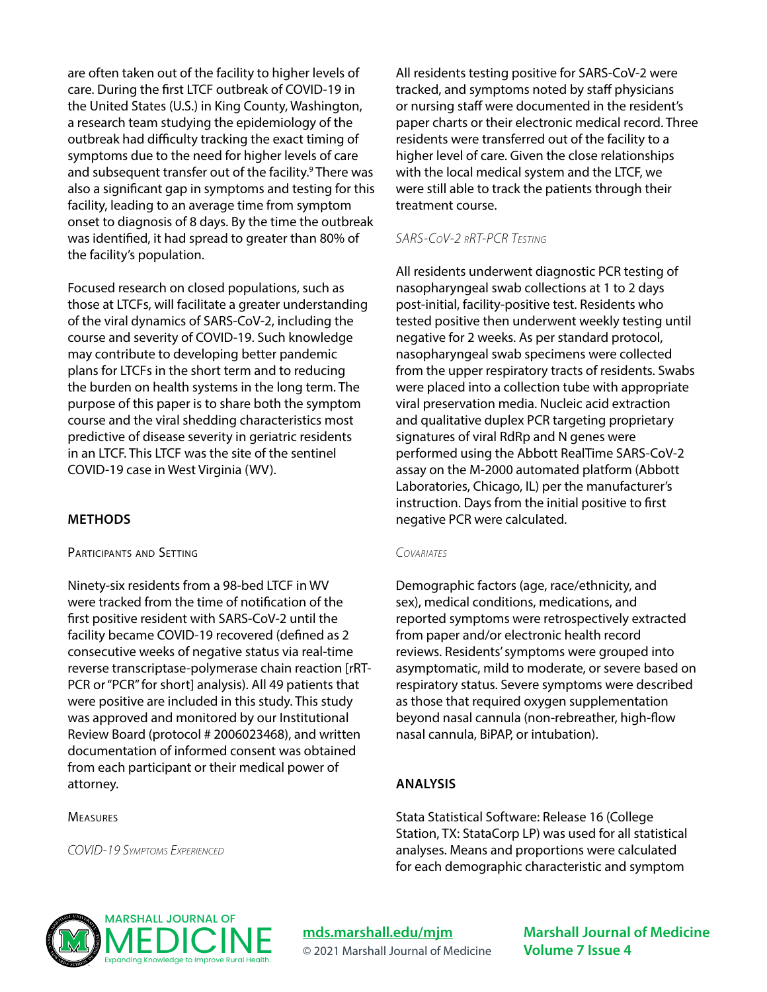are often taken out of the facility to higher levels of care. During the first LTCF outbreak of COVID-19 in the United States (U.S.) in King County, Washington, a research team studying the epidemiology of the outbreak had difficulty tracking the exact timing of symptoms due to the need for higher levels of care and subsequent transfer out of the facility.<sup>9</sup> There was also a significant gap in symptoms and testing for this facility, leading to an average time from symptom onset to diagnosis of 8 days. By the time the outbreak was identified, it had spread to greater than 80% of the facility's population.

Focused research on closed populations, such as those at LTCFs, will facilitate a greater understanding of the viral dynamics of SARS-CoV-2, including the course and severity of COVID-19. Such knowledge may contribute to developing better pandemic plans for LTCFs in the short term and to reducing the burden on health systems in the long term. The purpose of this paper is to share both the symptom course and the viral shedding characteristics most predictive of disease severity in geriatric residents in an LTCF. This LTCF was the site of the sentinel COVID-19 case in West Virginia (WV).

# **METHODS**

#### Participants and Setting

Ninety-six residents from a 98-bed LTCF in WV were tracked from the time of notification of the first positive resident with SARS-CoV-2 until the facility became COVID-19 recovered (defined as 2 consecutive weeks of negative status via real-time reverse transcriptase-polymerase chain reaction [rRT-PCR or "PCR" for short] analysis). All 49 patients that were positive are included in this study. This study was approved and monitored by our Institutional Review Board (protocol # 2006023468), and written documentation of informed consent was obtained from each participant or their medical power of attorney.

#### **MEASURES**

*COVID-19 Symptoms Experienced*

All residents testing positive for SARS-CoV-2 were tracked, and symptoms noted by staff physicians or nursing staff were documented in the resident's paper charts or their electronic medical record. Three residents were transferred out of the facility to a higher level of care. Given the close relationships with the local medical system and the LTCF, we were still able to track the patients through their treatment course.

### *SARS-CoV-2 rRT-PCR Testing*

All residents underwent diagnostic PCR testing of nasopharyngeal swab collections at 1 to 2 days post-initial, facility-positive test. Residents who tested positive then underwent weekly testing until negative for 2 weeks. As per standard protocol, nasopharyngeal swab specimens were collected from the upper respiratory tracts of residents. Swabs were placed into a collection tube with appropriate viral preservation media. Nucleic acid extraction and qualitative duplex PCR targeting proprietary signatures of viral RdRp and N genes were performed using the Abbott RealTime SARS-CoV-2 assay on the M-2000 automated platform (Abbott Laboratories, Chicago, IL) per the manufacturer's instruction. Days from the initial positive to first negative PCR were calculated.

#### *Covariates*

Demographic factors (age, race/ethnicity, and sex), medical conditions, medications, and reported symptoms were retrospectively extracted from paper and/or electronic health record reviews. Residents' symptoms were grouped into asymptomatic, mild to moderate, or severe based on respiratory status. Severe symptoms were described as those that required oxygen supplementation beyond nasal cannula (non-rebreather, high-flow nasal cannula, BiPAP, or intubation).

#### **ANALYSIS**

Stata Statistical Software: Release 16 (College Station, TX: StataCorp LP) was used for all statistical analyses. Means and proportions were calculated for each demographic characteristic and symptom



**[mds.marshall.edu/mjm](https://mds.marshall.edu/mjm/)** © 2021 Marshall Journal of Medicine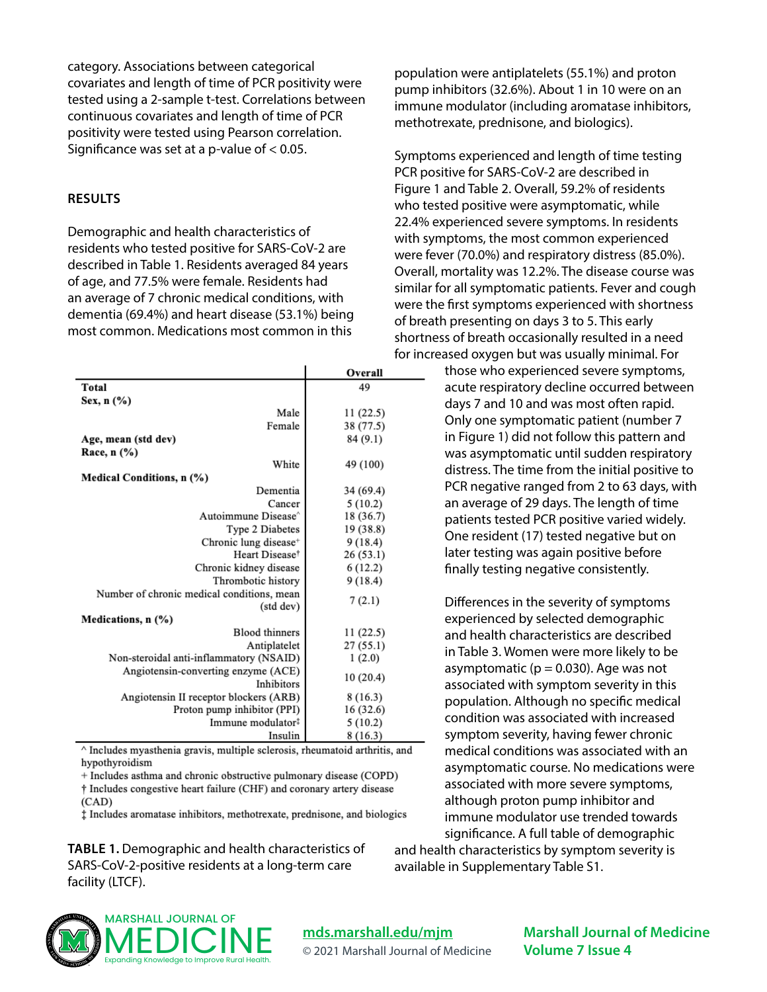category. Associations between categorical covariates and length of time of PCR positivity were tested using a 2-sample t-test. Correlations between continuous covariates and length of time of PCR positivity were tested using Pearson correlation. Significance was set at a p-value of  $< 0.05$ .

#### **RESULTS**

Demographic and health characteristics of residents who tested positive for SARS-CoV-2 are described in Table 1. Residents averaged 84 years of age, and 77.5% were female. Residents had an average of 7 chronic medical conditions, with dementia (69.4%) and heart disease (53.1%) being most common. Medications most common in this

|                                                          | Overall   |
|----------------------------------------------------------|-----------|
| Total                                                    | 49        |
| Sex, n (%)                                               |           |
| Male                                                     | 11(22.5)  |
| Female                                                   | 38 (77.5) |
| Age, mean (std dev)                                      | 84 (9.1)  |
| Race, n (%)                                              |           |
| White                                                    | 49 (100)  |
| Medical Conditions, n (%)                                |           |
| Dementia                                                 | 34 (69.4) |
| Cancer                                                   | 5(10.2)   |
| Autoimmune Disease <sup>^</sup>                          | 18 (36.7) |
| Type 2 Diabetes                                          | 19 (38.8) |
| Chronic lung disease <sup>+</sup>                        | 9(18.4)   |
| Heart Disease <sup>†</sup>                               | 26(53.1)  |
| Chronic kidney disease                                   | 6(12.2)   |
| Thrombotic history                                       | 9(18.4)   |
| Number of chronic medical conditions, mean<br>(std dev)  | 7(2.1)    |
| Medications, n (%)                                       |           |
| <b>Blood thinners</b>                                    | 11(22.5)  |
| Antiplatelet                                             | 27(55.1)  |
| Non-steroidal anti-inflammatory (NSAID)                  | 1(2.0)    |
| Angiotensin-converting enzyme (ACE)<br><b>Inhibitors</b> | 10(20.4)  |
| Angiotensin II receptor blockers (ARB)                   | 8(16.3)   |
| Proton pump inhibitor (PPI)                              | 16(32.6)  |
| Immune modulator#                                        | 5(10.2)   |
| Insulin                                                  | 8(16.3)   |

^ Includes myasthenia gravis, multiple sclerosis, rheumatoid arthritis, and hypothyroidism

+ Includes asthma and chronic obstructive pulmonary disease (COPD)

† Includes congestive heart failure (CHF) and coronary artery disease  $(CAD)$ 

# Includes aromatase inhibitors, methotrexate, prednisone, and biologics

**TABLE 1.** Demographic and health characteristics of SARS-CoV-2-positive residents at a long-term care facility (LTCF).

population were antiplatelets (55.1%) and proton pump inhibitors (32.6%). About 1 in 10 were on an immune modulator (including aromatase inhibitors, methotrexate, prednisone, and biologics).

Symptoms experienced and length of time testing PCR positive for SARS-CoV-2 are described in Figure 1 and Table 2. Overall, 59.2% of residents who tested positive were asymptomatic, while 22.4% experienced severe symptoms. In residents with symptoms, the most common experienced were fever (70.0%) and respiratory distress (85.0%). Overall, mortality was 12.2%. The disease course was similar for all symptomatic patients. Fever and cough were the first symptoms experienced with shortness of breath presenting on days 3 to 5. This early shortness of breath occasionally resulted in a need for increased oxygen but was usually minimal. For

> those who experienced severe symptoms, acute respiratory decline occurred between days 7 and 10 and was most often rapid. Only one symptomatic patient (number 7 in Figure 1) did not follow this pattern and was asymptomatic until sudden respiratory distress. The time from the initial positive to PCR negative ranged from 2 to 63 days, with an average of 29 days. The length of time patients tested PCR positive varied widely. One resident (17) tested negative but on later testing was again positive before finally testing negative consistently.

Differences in the severity of symptoms experienced by selected demographic and health characteristics are described in Table 3. Women were more likely to be asymptomatic ( $p = 0.030$ ). Age was not associated with symptom severity in this population. Although no specific medical condition was associated with increased symptom severity, having fewer chronic medical conditions was associated with an asymptomatic course. No medications were associated with more severe symptoms, although proton pump inhibitor and immune modulator use trended towards significance. A full table of demographic and health characteristics by symptom severity is

available in Supplementary Table S1.



**[mds.marshall.edu/mjm](https://mds.marshall.edu/mjm/)** © 2021 Marshall Journal of Medicine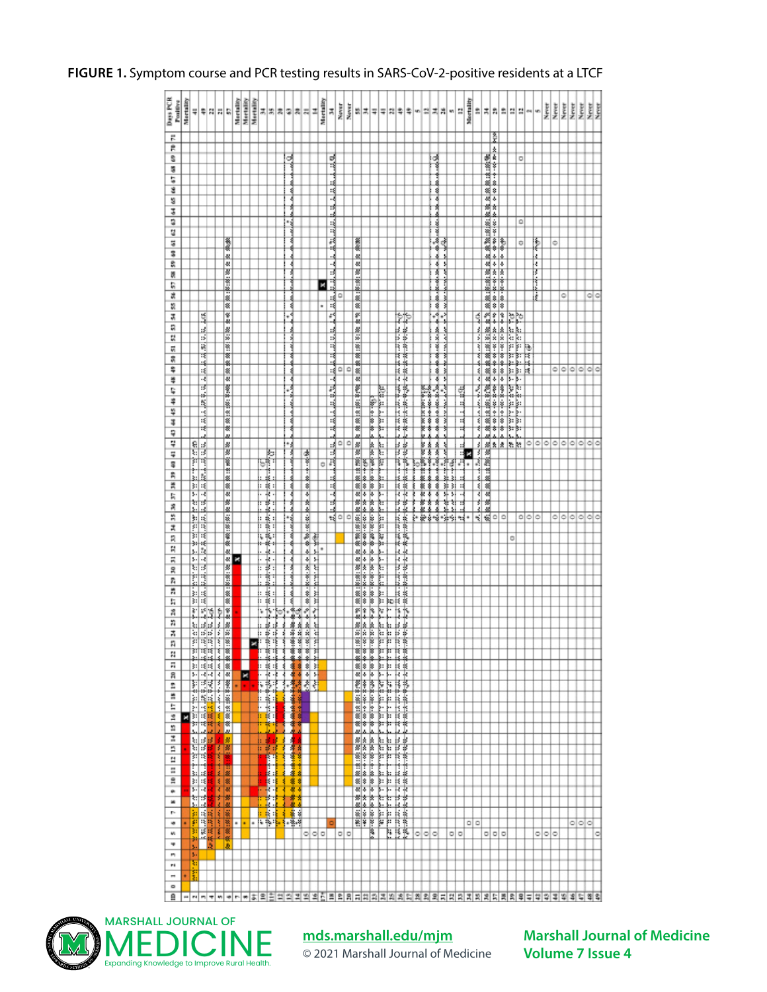#### Days PCR<br>Postfive<br>Martalley ž  $\begin{tabular}{|c|c|c|} \hline n & n & m \\ \hline n & n & m \\ \hline M & M & M \\ \hline M & M & M \\ \hline M & M & M \\ \hline M & M & M \\ \hline M & M & M \\ \hline M & M & M \\ \hline M & M & M \\ \hline M & M & M \\ \hline M & M & M \\ \hline M & M & M \\ \hline M & M & M \\ \hline M & M & M \\ \hline M & M & M \\ \hline M & M & M \\ \hline M & M & M \\ \hline M & M & M \\ \hline M & M & M \\ \hline M & M & M \\ \hline M & M & M \\ \hline M & M & M \\ \hline M & M & M$ Mertalley Mertality **REAL PROPERTY**  $\frac{1}{2}$ š 방치이치료 E, 변보 お金 회원 최치회 Ξ 畫 Þ  $\mathbb{R}$ R.  $\frac{k}{d}$ s ಷ . J **第3条の開発は1865**<br>第3条の18条件 S. t, s s đ  $\overline{\bullet}$ (1)80803803808080808038080380380<br>- 小かかりかかかかかめの<br>- 小かかかかかかかか  $\overline{\mathbf{a}}$ ¦asianan<br>analara ł u 큟 Нł ł 8 Þ  $\overline{\circ}$  $\circ$ I¢  $\overline{\phantom{a}}$  $\frac{8}{3}$ 릨  $\frac{8}{8}$ 大家的 s, 员 ※※:8::8: E. 5 H  $\frac{1}{2}$ 武 نمامه 档 ol o ▓ × Ħ.  $3212$ \*\*\*\* £. 肃 R RF. a ₩ Ŀ. 쁰 ÷ 祝 \*\*\*\* 同 ₹ ৰ ₩ Ħ खि  $\overline{\mathbf{w}}$ ١Ŧ ौ ÷ tr‡e अंशि k k  $\tilde{\mathbf{x}}$ 회  $\ddot{\ddot{\pi}}$ K نقاعاته بشخصة  $\circ$ H  $\frac{1}{2}$ ।<br>इ.स. ३ वर्षे ३ वर्षे<br>इ.स. ३ वर्षे ३ वर्षे Ŀ ×. 쁹 ماماشيم ÷  $-44.005$ 73 \*\*\* 휪 E ç 22<br>- 19 - 18 - 1<br>23 - 18 - 18 - $\ddot{x}$ B Lä. ¥  $\frac{1}{2}$  $\frac{1}{8}$ 븝 ┪ ₹  $\frac{1}{2}$ IJ  $\overline{\overline{u}}$ انذا  $\begin{array}{l} \begin{array}{l} \ast \ \ \ \, \ast \ \ \, \ast \ \ \, \ast \ \ \, \ast \ \ \, \ast \ \ \, \ast \ \ \, \ast \ \ \, \ast \ \ \, \ast \ \ \, \ast \ \ \, \ast \ \ \, \ast \ \ \, \ast \ \ \, \ast \ \ \, \ast \ \ \, \ast \ \ \, \ast \ \ \, \ast \ \ \, \ast \ \ \, \ast \ \ \, \ast \ \ \, \ast \ \ \, \ast \ \ \, \ast \ \ \, \ast \$ ÷ ų E e a<br>Estados 第3条 38  $\frac{1}{2}$  $-8.8 - 0.8$ π نې<br>نور سېښنې ş I 1 H ÷, انتلط 調 H  $\frac{1}{2}$ 共 ×  $\mathbb{I}^*_1$ ŧ. ×  $rac{1}{8}$   $rac{1}{8}$ ţ \*\*\*\*\* 청 Þ î 図 R  $\frac{1}{2}$ 手段 Ħ  $\frac{1}{3}$  $\frac{1}{2}$ 医额 机械系统 计时 ه اه 이이어  $\overline{x}$ Þ  $\frac{2}{3}$ Ħ  $\mathfrak{p}$  $\frac{4}{3}$  $\mathbb{R}$ ilia<br>193 H  $\overline{n}$  $\overline{R}$ t Ħ Ä II. - 이 호텔 중 중 등 :<br>- 이 호텔 중 중 등 : Ħ R. 昌 8  $\ddot{\ddot{\cdot}}$ 퇾 耕 H 肯  $\frac{1}{2}$  $2222$  $\cdot \cdot \circ$  $......$ Þ n Ã n  $\frac{3}{11}$ И. R, þ  $\overline{\mathbf{a}}$  $\overline{\mathbf{a}}$  $\overline{\mathbb{Z}}$  $\frac{2888}{2222}$  $\blacksquare$ ÷.  $\overline{z}$ Ħ Ë n  $\frac{1}{2}$ 闘  $\frac{1}{3}$ **Taking** ing and the Ħ, ■ 神奈<br>◆ 参照<br>◆ 参照  $\Xi$  $\mathbf{r}$ ÷  $\overline{\phantom{a}}$ Ħ H  $rac{1}{8}$   $rac{1}{8}$  $\,$ L læ E. **i** i  $-36.8$  $\mathbf{r}$ H  $\bullet$ F Ŀ **i.v** Ħ ₿₿ ħ  $\mathbf{w}$ 이이미 o 10 ۰  $\circ$ ٠  $\blacksquare$  $\overline{\phantom{a}}$  $\rightarrow$  $\overline{\phantom{a}}$ [음] 판매하지 한아이 하지 않을 의미리티지지지지다지지의미대의미지의회의회의 외의진

#### **FIGURE 1.** Symptom course and PCR testing results in SARS-CoV-2-positive residents at a LTCF



# **[mds.marshall.edu/mjm](https://mds.marshall.edu/mjm/)**

© 2021 Marshall Journal of Medicine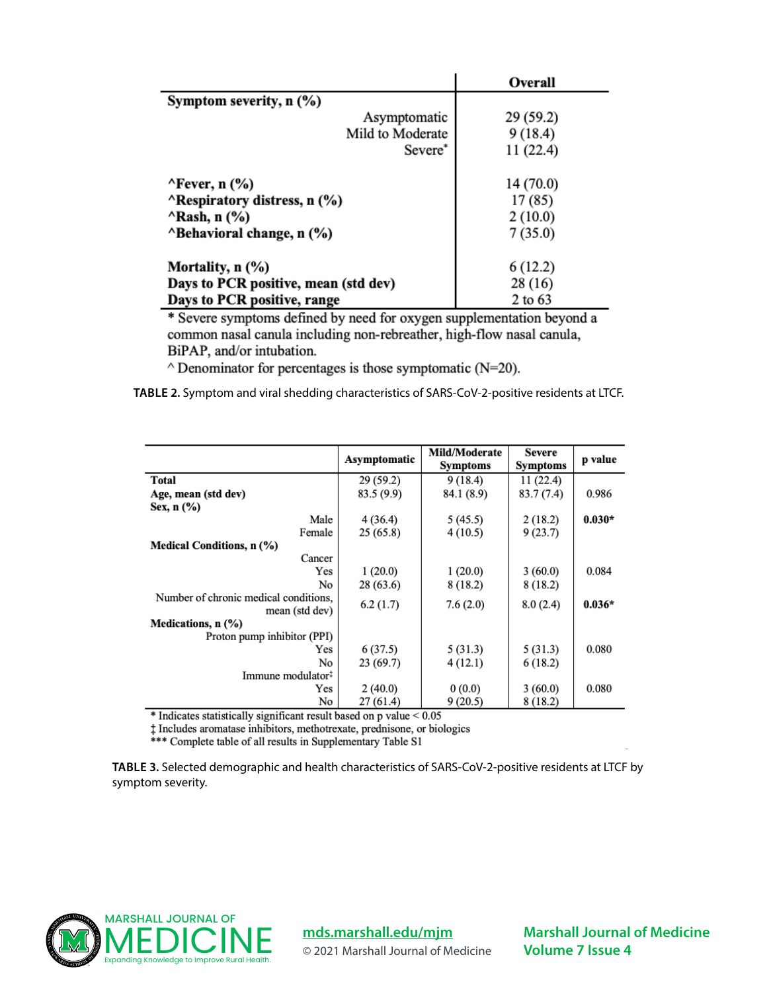|                                       | Overall   |
|---------------------------------------|-----------|
| Symptom severity, $n$ $(\%)$          |           |
| Asymptomatic                          | 29 (59.2) |
| Mild to Moderate                      | 9(18.4)   |
| Severe*                               | 11(22.4)  |
| $\lq$ Fever, n $(\frac{9}{6})$        | 14 (70.0) |
| <b>ARESPITATION ATTLES</b> , n (%)    | 17 (85)   |
| $^{\wedge}$ Rash, n $(^{\circ}\!\% )$ | 2(10.0)   |
| "Behavioral change, n (%)             | 7(35.0)   |
| Mortality, n (%)                      | 6(12.2)   |
| Days to PCR positive, mean (std dev)  | 28 (16)   |
| Days to PCR positive, range           | 2 to 63   |

\* Severe symptoms defined by need for oxygen supplementation beyond a common nasal canula including non-rebreather, high-flow nasal canula, BiPAP, and/or intubation.

 $\land$  Denominator for percentages is those symptomatic (N=20).

**TABLE 2.** Symptom and viral shedding characteristics of SARS-CoV-2-positive residents at LTCF.

|                                                         | Asymptomatic | Mild/Moderate<br><b>Symptoms</b> | Severe<br><b>Symptoms</b> | p value  |
|---------------------------------------------------------|--------------|----------------------------------|---------------------------|----------|
| <b>Total</b>                                            | 29(59.2)     | 9(18.4)                          | 11(22.4)                  |          |
| Age, mean (std dev)                                     | 83.5 (9.9)   | 84.1 (8.9)                       | 83.7 (7.4)                | 0.986    |
| Sex, $n$ $\left(\frac{9}{6}\right)$                     |              |                                  |                           |          |
| Male                                                    | 4(36.4)      | 5(45.5)                          | 2(18.2)                   | $0.030*$ |
| Female                                                  | 25(65.8)     | 4(10.5)                          | 9(23.7)                   |          |
| Medical Conditions, n (%)                               |              |                                  |                           |          |
| Cancer                                                  |              |                                  |                           |          |
| Yes                                                     | 1(20.0)      | 1(20.0)                          | 3(60.0)                   | 0.084    |
| No                                                      | 28(63.6)     | 8(18.2)                          | 8(18.2)                   |          |
| Number of chronic medical conditions,<br>mean (std dev) | 6.2(1.7)     | 7.6(2.0)                         | 8.0(2.4)                  | $0.036*$ |
| Medications, n (%)                                      |              |                                  |                           |          |
| Proton pump inhibitor (PPI)                             |              |                                  |                           |          |
| Yes                                                     | 6(37.5)      | 5(31.3)                          | 5(31.3)                   | 0.080    |
| No                                                      | 23(69.7)     | 4(12.1)                          | 6(18.2)                   |          |
| Immune modulator#                                       |              |                                  |                           |          |
| Yes                                                     | 2(40.0)      | 0(0.0)                           | 3(60.0)                   | 0.080    |
| No                                                      | 27 (61.4)    | 9(20.5)                          | 8(18.2)                   |          |

 $*$  Indicates statistically significant result based on p value  $< 0.05$ 

<sup> $\ddagger$ </sup> Includes aromatase inhibitors, methotrexate, prednisone, or biologics \*\*\* Complete table of all results in Supplementary Table S1

**TABLE 3.** Selected demographic and health characteristics of SARS-CoV-2-positive residents at LTCF by symptom severity.



**[mds.marshall.edu/mjm](https://mds.marshall.edu/mjm/)**

© 2021 Marshall Journal of Medicine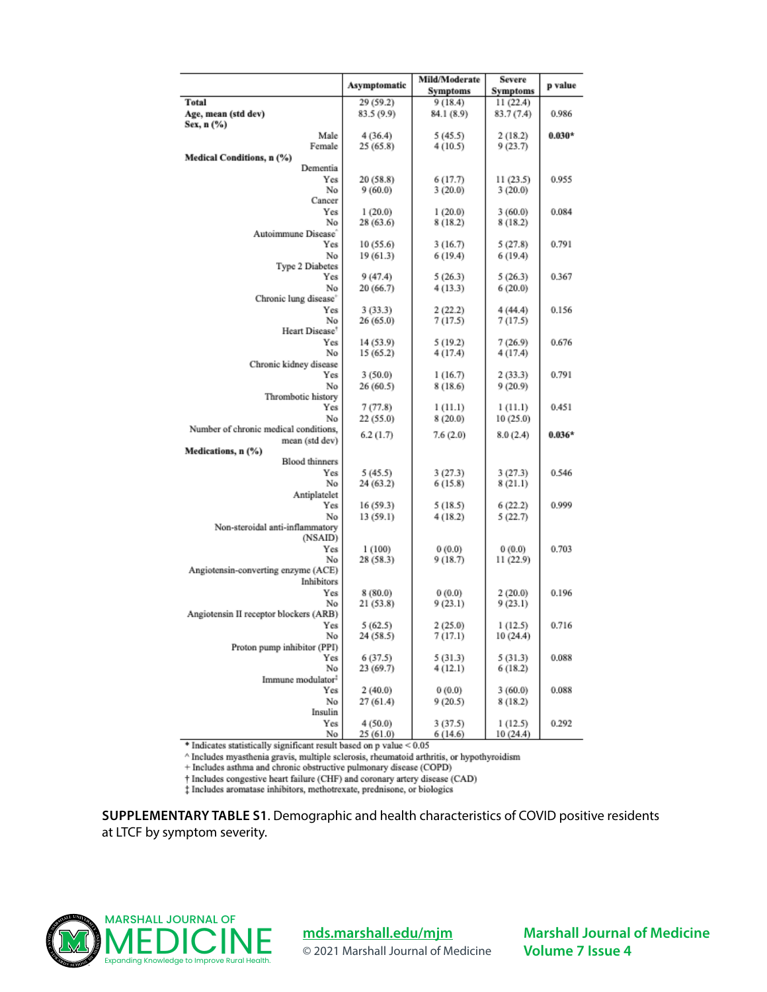|                                            |              | Mild/Moderate       | <b>Severe</b>      |          |
|--------------------------------------------|--------------|---------------------|--------------------|----------|
|                                            | Asymptomatic | Symptoms            | Symptoms           | p value  |
| <b>Total</b>                               | 29 (59.2)    | 9(18.4)             | 11 (22.4)          |          |
| Age, mean (std dev)                        | 83.5 (9.9)   | 84.1 (8.9)          | 83.7 (7.4)         | 0.986    |
| Sex, n (%)                                 |              |                     |                    |          |
| Male                                       | 4(36.4)      | 5(45.5)             | 2(18.2)            | $0.030*$ |
| Female                                     | 25(65.8)     | 4(10.5)             | 9(23.7)            |          |
| Medical Conditions, n (%)                  |              |                     |                    |          |
| Dementia                                   |              |                     |                    |          |
| Yes<br>No                                  | 20 (58.8)    | 6(17.7)             | 11 (23.5)          | 0.955    |
| Cancer                                     | 9(60.0)      | 3(20.0)             | 3(20.0)            |          |
| Yes                                        | 1(20.0)      | 1(20.0)             | 3(60.0)            | 0.084    |
| No                                         | 28(63.6)     | 8 (18.2)            | 8 (18.2)           |          |
| Autoimmune Disease                         |              |                     |                    |          |
| Yes                                        | 10 (55.6)    | 3 (16.7)            | 5(27.8)            | 0.791    |
| No                                         | 19(61.3)     | 6 (19.4)            | 6(19.4)            |          |
| Type 2 Diabetes                            |              |                     |                    |          |
| Yes                                        | 9 (47.4)     | 5(26.3)             | 5(26.3)            | 0.367    |
| No                                         | 20 (66.7)    | 4(13.3)             | 6(20.0)            |          |
| Chronic lung disease <sup>®</sup>          |              |                     |                    |          |
| Yes                                        | 3(33.3)      | 2(22.2)             | 4(44.4)            | 0.156    |
| No                                         | 26 (65.0)    | 7(17.5)             | 7(17.5)            |          |
| Heart Disease <sup>®</sup>                 |              |                     |                    |          |
| Yes                                        | 14 (53.9)    | 5(19.2)             | 7(26.9)            | 0.676    |
| No                                         | 15 (65.2)    | 4(17.4)             | 4 (17.4)           |          |
| Chronic kidney disease<br>Yes              | 3(50.0)      |                     |                    | 0.791    |
| No                                         | 26(60.5)     | 1(16.7)<br>8 (18.6) | 2(33.3)<br>9(20.9) |          |
| Thrombotic history                         |              |                     |                    |          |
| Yes                                        | 7 (77.8)     | 1 (11.1)            | 1 (11.1)           | 0.451    |
| No                                         | 22 (55.0)    | 8(20.0)             | 10 (25.0)          |          |
| Number of chronic medical conditions,      |              |                     |                    |          |
| mean (std dev)                             | 6.2(1.7)     | 7.6(2.0)            | 8.0(2.4)           | $0.036*$ |
| Medications, n (%)                         |              |                     |                    |          |
| <b>Blood</b> thinners                      |              |                     |                    |          |
| Yes                                        | 5(45.5)      | 3(27.3)             | 3(27.3)            | 0.546    |
| No                                         | 24 (63.2)    | 6(15.8)             | 8(21.1)            |          |
| Antiplatelet                               |              |                     |                    |          |
| Yes                                        | 16 (59.3)    | 5(18.5)             | 6(22.2)            | 0.999    |
| No                                         | 13 (59.1)    | 4(18.2)             | 5(22.7)            |          |
| Non-steroidal anti-inflammatory<br>(NSAID) |              |                     |                    |          |
| Yes                                        | 1(100)       | 0(0.0)              | 0(0.0)             | 0.703    |
| No                                         | 28(58.3)     | 9(18.7)             | 11 (22.9)          |          |
| Angiotensin-converting enzyme (ACE)        |              |                     |                    |          |
| <b>Inhibitors</b>                          |              |                     |                    |          |
| Yes                                        | 8 (80.0)     | 0(0.0)              | 2(20.0)            | 0.196    |
| No                                         | 21(53.8)     | 9 (23.1)            | 9(23.1)            |          |
| Angiotensin II receptor blockers (ARB)     |              |                     |                    |          |
| Yes                                        | 5(62.5)      | 2(25.0)             | 1(12.5)            | 0.716    |
| No                                         | 24 (58.5)    | 7 (17.1)            | 10 (24.4)          |          |
| Proton pump inhibitor (PPI)                |              |                     |                    |          |
| Yes                                        | 6(37.5)      | 5(31.3)             | 5 (31.3)           | 0.088    |
| No                                         | 23 (69.7)    | 4(12.1)             | 6(18.2)            |          |
| Immune modulator <sup>2</sup>              |              |                     |                    |          |
| Yes                                        | 2(40.0)      | 0(0.0)              | 3(60.0)            | 0.088    |
| No<br>Insulin                              | 27 (61.4)    | 9(20.5)             | 8 (18.2)           |          |
| Yes                                        | 4 (50.0)     | 3 (37.5)            | 1(12.5)            | 0.292    |
| No                                         | 25(61.0)     | 6(14.6)             | 10 (24.4)          |          |

 $\spadesuit$  Indicates statistically significant result based on p value  $\leq 0.05$ 

 $^\wedge$  Includes myasthenia gravis, multiple sclerosis, rheumatoid arthritis, or hypothyroidism

 $\pm$  Includes asthma and chronic obstructive pulmonary disease (COPD)

† Includes congestive heart failure (CHF) and coronary artery disease (CAD)<br>‡ Includes aromatase inhibitors, methotrexate, prednisone, or biologics

**SUPPLEMENTARY TABLE S1**. Demographic and health characteristics of COVID positive residents at LTCF by symptom severity.



**[mds.marshall.edu/mjm](https://mds.marshall.edu/mjm/)** © 2021 Marshall Journal of Medicine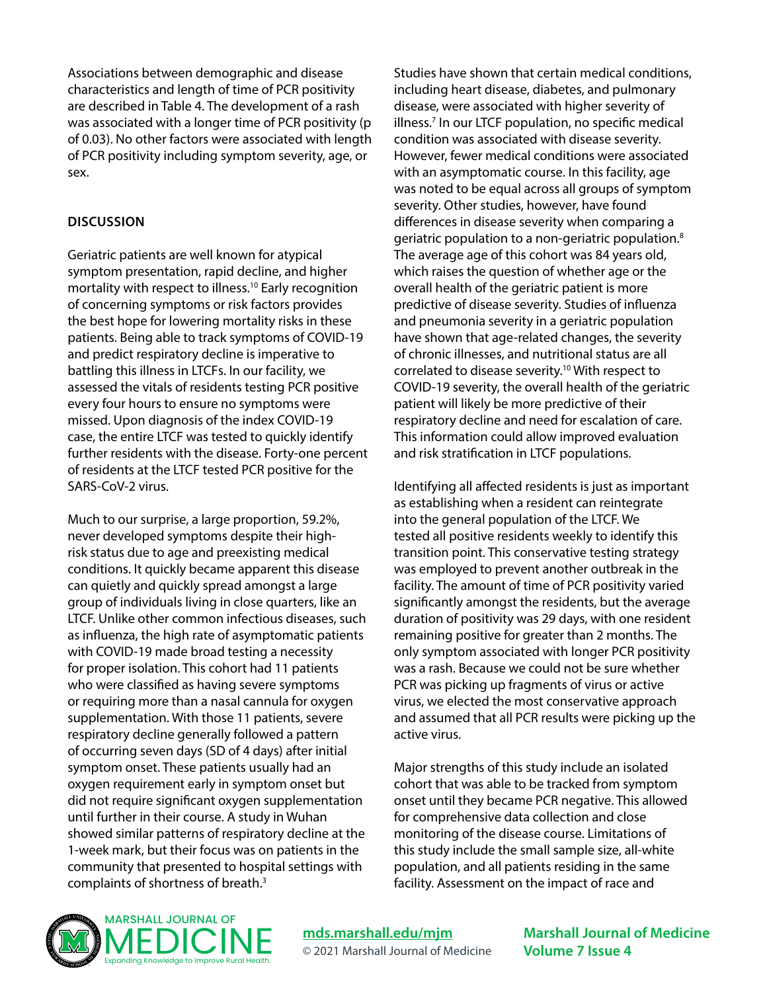Associations between demographic and disease characteristics and length of time of PCR positivity are described in Table 4. The development of a rash was associated with a longer time of PCR positivity (p of 0.03). No other factors were associated with length of PCR positivity including symptom severity, age, or sex.

#### **DISCUSSION**

Geriatric patients are well known for atypical symptom presentation, rapid decline, and higher mortality with respect to illness.10 Early recognition of concerning symptoms or risk factors provides the best hope for lowering mortality risks in these patients. Being able to track symptoms of COVID-19 and predict respiratory decline is imperative to battling this illness in LTCFs. In our facility, we assessed the vitals of residents testing PCR positive every four hours to ensure no symptoms were missed. Upon diagnosis of the index COVID-19 case, the entire LTCF was tested to quickly identify further residents with the disease. Forty-one percent of residents at the LTCF tested PCR positive for the SARS-CoV-2 virus.

Much to our surprise, a large proportion, 59.2%, never developed symptoms despite their highrisk status due to age and preexisting medical conditions. It quickly became apparent this disease can quietly and quickly spread amongst a large group of individuals living in close quarters, like an LTCF. Unlike other common infectious diseases, such as influenza, the high rate of asymptomatic patients with COVID-19 made broad testing a necessity for proper isolation. This cohort had 11 patients who were classified as having severe symptoms or requiring more than a nasal cannula for oxygen supplementation. With those 11 patients, severe respiratory decline generally followed a pattern of occurring seven days (SD of 4 days) after initial symptom onset. These patients usually had an oxygen requirement early in symptom onset but did not require significant oxygen supplementation until further in their course. A study in Wuhan showed similar patterns of respiratory decline at the 1-week mark, but their focus was on patients in the community that presented to hospital settings with complaints of shortness of breath.3

Studies have shown that certain medical conditions, including heart disease, diabetes, and pulmonary disease, were associated with higher severity of illness.7 In our LTCF population, no specific medical condition was associated with disease severity. However, fewer medical conditions were associated with an asymptomatic course. In this facility, age was noted to be equal across all groups of symptom severity. Other studies, however, have found differences in disease severity when comparing a geriatric population to a non-geriatric population.8 The average age of this cohort was 84 years old, which raises the question of whether age or the overall health of the geriatric patient is more predictive of disease severity. Studies of influenza and pneumonia severity in a geriatric population have shown that age-related changes, the severity of chronic illnesses, and nutritional status are all correlated to disease severity.<sup>10</sup> With respect to COVID-19 severity, the overall health of the geriatric patient will likely be more predictive of their respiratory decline and need for escalation of care. This information could allow improved evaluation and risk stratification in LTCF populations.

Identifying all affected residents is just as important as establishing when a resident can reintegrate into the general population of the LTCF. We tested all positive residents weekly to identify this transition point. This conservative testing strategy was employed to prevent another outbreak in the facility. The amount of time of PCR positivity varied significantly amongst the residents, but the average duration of positivity was 29 days, with one resident remaining positive for greater than 2 months. The only symptom associated with longer PCR positivity was a rash. Because we could not be sure whether PCR was picking up fragments of virus or active virus, we elected the most conservative approach and assumed that all PCR results were picking up the active virus.

Major strengths of this study include an isolated cohort that was able to be tracked from symptom onset until they became PCR negative. This allowed for comprehensive data collection and close monitoring of the disease course. Limitations of this study include the small sample size, all-white population, and all patients residing in the same facility. Assessment on the impact of race and



**[mds.marshall.edu/mjm](https://mds.marshall.edu/mjm/)** © 2021 Marshall Journal of Medicine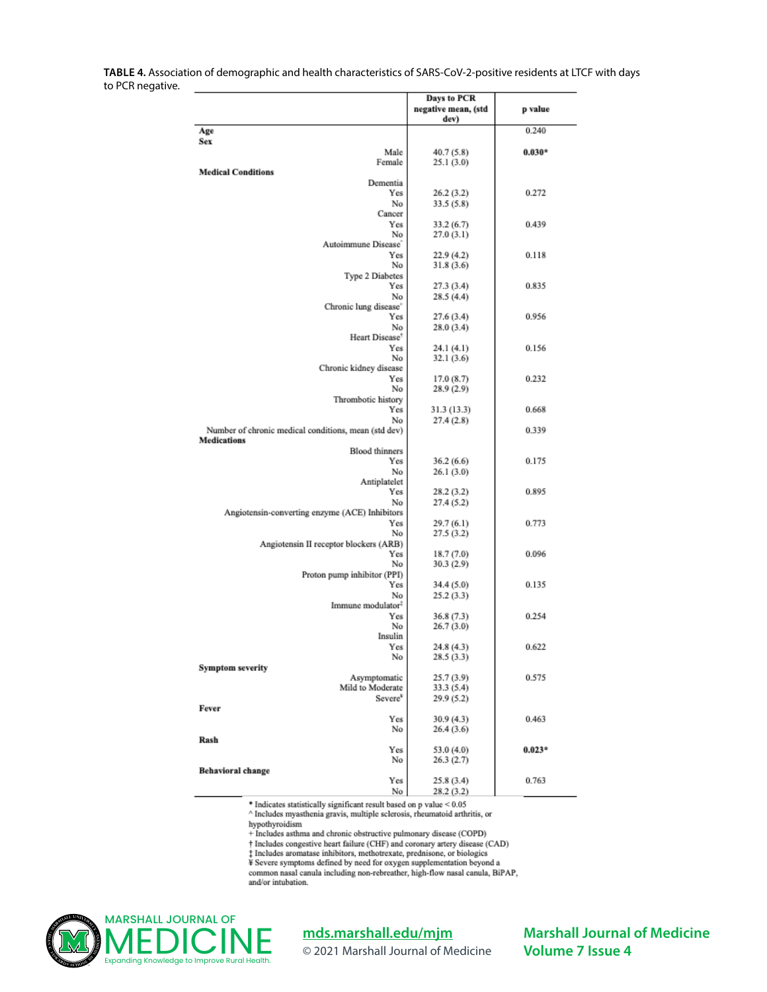**TABLE 4.** Association of demographic and health characteristics of SARS-CoV-2-positive residents at LTCF with days to PCR negative.

|                                                      | <b>Days to PCR</b>       |          |
|------------------------------------------------------|--------------------------|----------|
|                                                      | negative mean, (std      | p value  |
|                                                      | dev)                     |          |
| Age                                                  |                          | 0.240    |
| Sex<br>Male                                          |                          |          |
| Female                                               | 40.7 (5.8)<br>25.1(3.0)  | $0.030*$ |
| <b>Medical Conditions</b>                            |                          |          |
| Dementia                                             |                          |          |
| Yes                                                  | 26.2(3.2)                | 0.272    |
| No                                                   | 33.5(5.8)                |          |
| Cancer<br>Yes                                        |                          |          |
| No                                                   | 33.2 (6.7)<br>27.0(3.1)  | 0.439    |
| Autoimmune Disease                                   |                          |          |
| Yes                                                  | 22.9 (4.2)               | 0.118    |
| No                                                   | 31.8(3.6)                |          |
| Type 2 Diabetes                                      |                          |          |
| Yes                                                  | 27.3(3.4)                | 0.835    |
| No                                                   | 28.5(4.4)                |          |
| Chronic lung disease'<br>Yes                         | 27.6 (3.4)               | 0.956    |
| No                                                   | 28.0 (3.4)               |          |
| Heart Disease <sup>®</sup>                           |                          |          |
| Yes                                                  | 24.1(4.1)                | 0.156    |
| No                                                   | 32.1(3.6)                |          |
| Chronic kidney disease                               |                          |          |
| Yes<br>No                                            | 17.0(8.7)<br>28.9(2.9)   | 0.232    |
| Thrombotic history                                   |                          |          |
| Yes                                                  | 31.3 (13.3)              | 0.668    |
| No                                                   | 27.4(2.8)                |          |
| Number of chronic medical conditions, mean (std dev) |                          | 0.339    |
| <b>Medications</b>                                   |                          |          |
| <b>Blood</b> thinners<br>Yes                         |                          | 0.175    |
| No                                                   | 36.2(6.6)<br>26.1(3.0)   |          |
| Antiplatelet                                         |                          |          |
| Yes                                                  | 28.2(3.2)                | 0.895    |
| No                                                   | 27.4(5.2)                |          |
| Angiotensin-converting enzyme (ACE) Inhibitors       |                          |          |
| Yes                                                  | 29.7(6.1)                | 0.773    |
| No<br>Angiotensin II receptor blockers (ARB)         | 27.5(3.2)                |          |
| Yes                                                  | 18.7 (7.0)               | 0.096    |
| No                                                   | 30.3(2.9)                |          |
| Proton pump inhibitor (PPI)                          |                          |          |
| Yes                                                  | 34.4 (5.0)               | 0.135    |
| No<br>Immune modulator <sup>1</sup>                  | 25.2(3.3)                |          |
| Yes                                                  | 36.8 (7.3)               | 0.254    |
| No                                                   | 26.7(3.0)                |          |
| Insulin                                              |                          |          |
| Yes                                                  | 24.8 (4.3)               | 0.622    |
| No                                                   | 28.5 (3.3)               |          |
| <b>Symptom severity</b>                              |                          |          |
| Asymptomatic<br>Mild to Moderate                     | 25.7 (3.9)<br>33.3 (5.4) | 0.575    |
| Severe <sup>*</sup>                                  | 29.9 (5.2)               |          |
| Fever                                                |                          |          |
| Yes                                                  | 30.9 (4.3)               | 0.463    |
| No                                                   | 26.4 (3.6)               |          |
| Rash                                                 |                          |          |
| Yes                                                  | 53.0 (4.0)               | $0.023*$ |
| No<br><b>Behavioral change</b>                       | 26.3(2.7)                |          |
| Yes                                                  | 25.8 (3.4)               | 0.763    |
| No                                                   | 28.2 (3.2)               |          |

 $*$  Indicates statistically significant result based on p value  $< 0.05$ 

 $^\wedge$  Includes myasthenia gravis, multiple sclerosis, rheumatoid arthritis, or hypothyroidism

+ Includes asthma and chronic obstructive pulmonary disease (COPD)

+ Includes congestive heart failure (CHF) and coronary artery disease (CAD)

and the distance in the matter of the product of the product of the product of the product of the product of the second series of the second series of the series of the series of the second series of the series of the seri

common nasal canula including non-rebreather, high-flow nasal canula, BiPAP, and/or intubation.



**[mds.marshall.edu/mjm](https://mds.marshall.edu/mjm/)**

© 2021 Marshall Journal of Medicine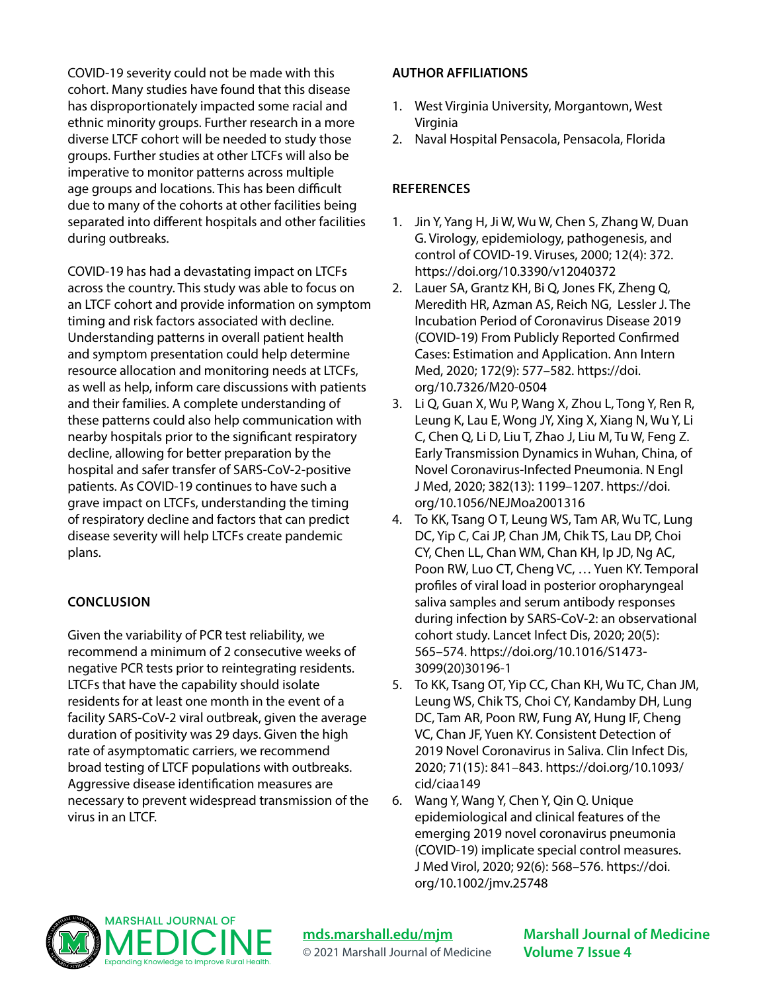COVID-19 severity could not be made with this cohort. Many studies have found that this disease has disproportionately impacted some racial and ethnic minority groups. Further research in a more diverse LTCF cohort will be needed to study those groups. Further studies at other LTCFs will also be imperative to monitor patterns across multiple age groups and locations. This has been difficult due to many of the cohorts at other facilities being separated into different hospitals and other facilities during outbreaks.

COVID-19 has had a devastating impact on LTCFs across the country. This study was able to focus on an LTCF cohort and provide information on symptom timing and risk factors associated with decline. Understanding patterns in overall patient health and symptom presentation could help determine resource allocation and monitoring needs at LTCFs, as well as help, inform care discussions with patients and their families. A complete understanding of these patterns could also help communication with nearby hospitals prior to the significant respiratory decline, allowing for better preparation by the hospital and safer transfer of SARS-CoV-2-positive patients. As COVID-19 continues to have such a grave impact on LTCFs, understanding the timing of respiratory decline and factors that can predict disease severity will help LTCFs create pandemic plans.

# **CONCLUSION**

Given the variability of PCR test reliability, we recommend a minimum of 2 consecutive weeks of negative PCR tests prior to reintegrating residents. LTCFs that have the capability should isolate residents for at least one month in the event of a facility SARS-CoV-2 viral outbreak, given the average duration of positivity was 29 days. Given the high rate of asymptomatic carriers, we recommend broad testing of LTCF populations with outbreaks. Aggressive disease identification measures are necessary to prevent widespread transmission of the virus in an LTCF.

#### **AUTHOR AFFILIATIONS**

- 1. West Virginia University, Morgantown, West Virginia
- 2. Naval Hospital Pensacola, Pensacola, Florida

### **REFERENCES**

- 1. Jin Y, Yang H, Ji W, Wu W, Chen S, Zhang W, Duan G. Virology, epidemiology, pathogenesis, and control of COVID-19. Viruses, 2000; 12(4): 372. https://doi.org/10.3390/v12040372
- 2. Lauer SA, Grantz KH, Bi Q, Jones FK, Zheng Q, Meredith HR, Azman AS, Reich NG, Lessler J. The Incubation Period of Coronavirus Disease 2019 (COVID-19) From Publicly Reported Confirmed Cases: Estimation and Application. Ann Intern Med, 2020; 172(9): 577–582. https://doi. org/10.7326/M20-0504
- 3. Li Q, Guan X, Wu P, Wang X, Zhou L, Tong Y, Ren R, Leung K, Lau E, Wong JY, Xing X, Xiang N, Wu Y, Li C, Chen Q, Li D, Liu T, Zhao J, Liu M, Tu W, Feng Z. Early Transmission Dynamics in Wuhan, China, of Novel Coronavirus-Infected Pneumonia. N Engl J Med, 2020; 382(13): 1199–1207. https://doi. org/10.1056/NEJMoa2001316
- 4. To KK, Tsang O T, Leung WS, Tam AR, Wu TC, Lung DC, Yip C, Cai JP, Chan JM, Chik TS, Lau DP, Choi CY, Chen LL, Chan WM, Chan KH, Ip JD, Ng AC, Poon RW, Luo CT, Cheng VC, … Yuen KY. Temporal profiles of viral load in posterior oropharyngeal saliva samples and serum antibody responses during infection by SARS-CoV-2: an observational cohort study. Lancet Infect Dis, 2020; 20(5): 565–574. https://doi.org/10.1016/S1473- 3099(20)30196-1
- 5. To KK, Tsang OT, Yip CC, Chan KH, Wu TC, Chan JM, Leung WS, Chik TS, Choi CY, Kandamby DH, Lung DC, Tam AR, Poon RW, Fung AY, Hung IF, Cheng VC, Chan JF, Yuen KY. Consistent Detection of 2019 Novel Coronavirus in Saliva. Clin Infect Dis, 2020; 71(15): 841–843. https://doi.org/10.1093/ cid/ciaa149
- 6. Wang Y, Wang Y, Chen Y, Qin Q. Unique epidemiological and clinical features of the emerging 2019 novel coronavirus pneumonia (COVID-19) implicate special control measures. J Med Virol, 2020; 92(6): 568–576. https://doi. org/10.1002/jmv.25748



**[mds.marshall.edu/mjm](https://mds.marshall.edu/mjm/)**

© 2021 Marshall Journal of Medicine